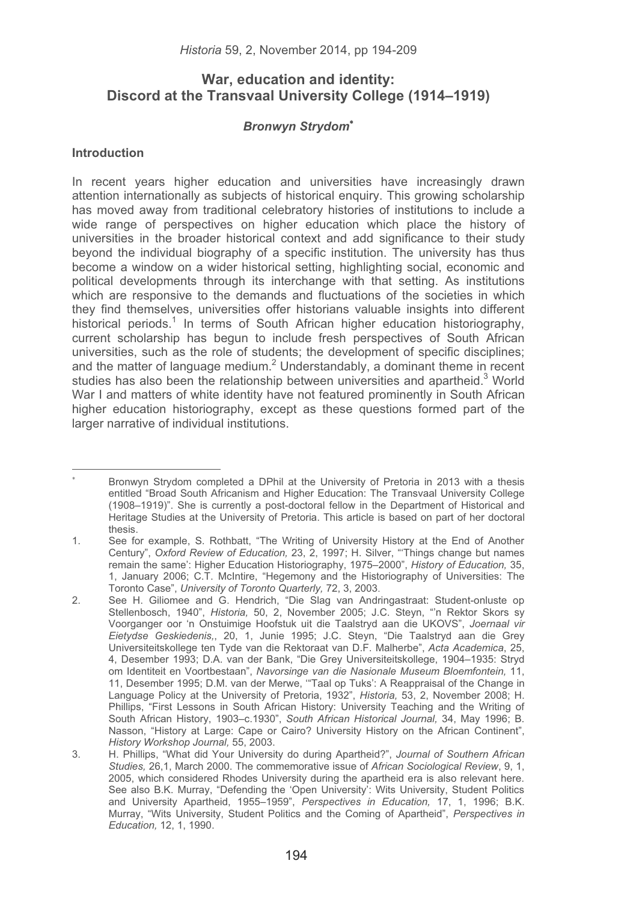# **War, education and identity: Discord at the Transvaal University College (1914–1919)**

## *Bronwyn Strydom*-

## **Introduction**

-----------------------------------------------------------

In recent years higher education and universities have increasingly drawn attention internationally as subjects of historical enquiry. This growing scholarship has moved away from traditional celebratory histories of institutions to include a wide range of perspectives on higher education which place the history of universities in the broader historical context and add significance to their study beyond the individual biography of a specific institution. The university has thus become a window on a wider historical setting, highlighting social, economic and political developments through its interchange with that setting. As institutions which are responsive to the demands and fluctuations of the societies in which they find themselves, universities offer historians valuable insights into different historical periods.<sup>1</sup> In terms of South African higher education historiography, current scholarship has begun to include fresh perspectives of South African universities, such as the role of students; the development of specific disciplines; and the matter of language medium.<sup>2</sup> Understandably, a dominant theme in recent studies has also been the relationship between universities and apartheid.<sup>3</sup> World War I and matters of white identity have not featured prominently in South African higher education historiography, except as these questions formed part of the larger narrative of individual institutions.

<sup>-</sup> Bronwyn Strydom completed a DPhil at the University of Pretoria in 2013 with a thesis entitled "Broad South Africanism and Higher Education: The Transvaal University College (1908–1919)". She is currently a post-doctoral fellow in the Department of Historical and Heritage Studies at the University of Pretoria. This article is based on part of her doctoral thesis.

<sup>1.</sup> See for example, S. Rothbatt, "The Writing of University History at the End of Another Century", *Oxford Review of Education,* 23, 2, 1997; H. Silver, "'Things change but names remain the same': Higher Education Historiography, 1975–2000", *History of Education,* 35, 1, January 2006; C.T. McIntire, "Hegemony and the Historiography of Universities: The Toronto Case", *University of Toronto Quarterly,* 72, 3, 2003.

<sup>2.</sup> See H. Giliomee and G. Hendrich, "Die Slag van Andringastraat: Student-onluste op Stellenbosch, 1940", *Historia,* 50, 2, November 2005; J.C. Steyn, "'n Rektor Skors sy Voorganger oor 'n Onstuimige Hoofstuk uit die Taalstryd aan die UKOVS", *Joernaal vir Eietydse Geskiedenis,*, 20, 1, Junie 1995; J.C. Steyn, "Die Taalstryd aan die Grey Universiteitskollege ten Tyde van die Rektoraat van D.F. Malherbe", *Acta Academica*, 25, 4, Desember 1993; D.A. van der Bank, "Die Grey Universiteitskollege, 1904–1935: Stryd om Identiteit en Voortbestaan", *Navorsinge van die Nasionale Museum Bloemfontein,* 11, 11, Desember 1995; D.M. van der Merwe, '"Taal op Tuks': A Reappraisal of the Change in Language Policy at the University of Pretoria, 1932", *Historia,* 53, 2, November 2008; H. Phillips, "First Lessons in South African History: University Teaching and the Writing of South African History, 1903–c.1930", *South African Historical Journal,* 34, May 1996; B. Nasson, "History at Large: Cape or Cairo? University History on the African Continent", *History Workshop Journal,* 55, 2003.

<sup>3.</sup> H. Phillips, "What did Your University do during Apartheid?", *Journal of Southern African Studies,* 26,1, March 2000. The commemorative issue of *African Sociological Review*, 9, 1, 2005, which considered Rhodes University during the apartheid era is also relevant here. See also B.K. Murray, "Defending the 'Open University': Wits University, Student Politics and University Apartheid, 1955–1959", *Perspectives in Education,* 17, 1, 1996; B.K. Murray, "Wits University, Student Politics and the Coming of Apartheid", *Perspectives in Education,* 12, 1, 1990.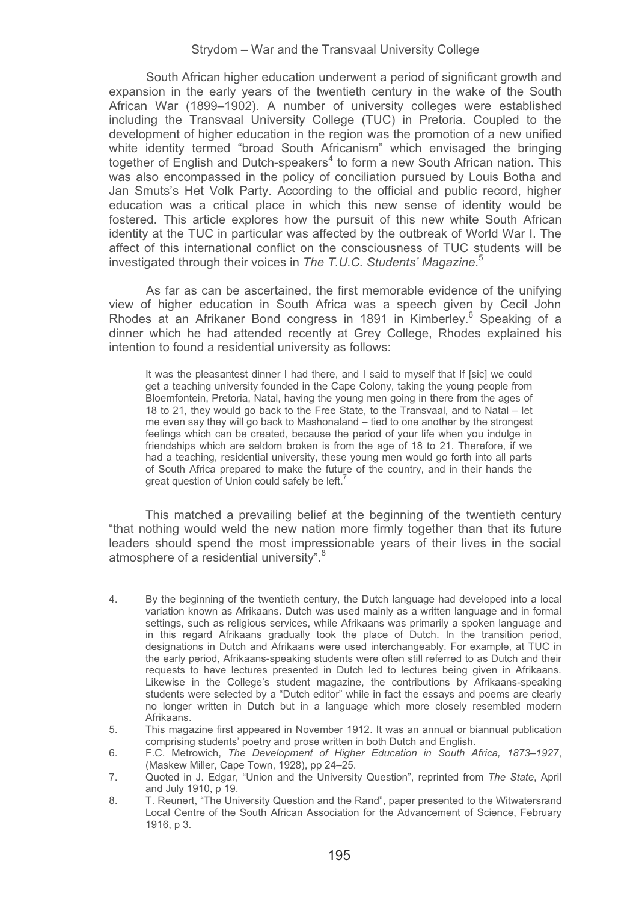South African higher education underwent a period of significant growth and expansion in the early years of the twentieth century in the wake of the South African War (1899–1902). A number of university colleges were established including the Transvaal University College (TUC) in Pretoria. Coupled to the development of higher education in the region was the promotion of a new unified white identity termed "broad South Africanism" which envisaged the bringing together of English and Dutch-speakers<sup>4</sup> to form a new South African nation. This was also encompassed in the policy of conciliation pursued by Louis Botha and Jan Smuts's Het Volk Party. According to the official and public record, higher education was a critical place in which this new sense of identity would be fostered. This article explores how the pursuit of this new white South African identity at the TUC in particular was affected by the outbreak of World War I. The affect of this international conflict on the consciousness of TUC students will be investigated through their voices in *The T.U.C. Students' Magazine*. 5

As far as can be ascertained, the first memorable evidence of the unifying view of higher education in South Africa was a speech given by Cecil John Rhodes at an Afrikaner Bond congress in 1891 in Kimberley.<sup>6</sup> Speaking of a dinner which he had attended recently at Grey College, Rhodes explained his intention to found a residential university as follows:

It was the pleasantest dinner I had there, and I said to myself that If [sic] we could get a teaching university founded in the Cape Colony, taking the young people from Bloemfontein, Pretoria, Natal, having the young men going in there from the ages of 18 to 21, they would go back to the Free State, to the Transvaal, and to Natal – let me even say they will go back to Mashonaland – tied to one another by the strongest feelings which can be created, because the period of your life when you indulge in friendships which are seldom broken is from the age of 18 to 21. Therefore, if we had a teaching, residential university, these young men would go forth into all parts of South Africa prepared to make the future of the country, and in their hands the great question of Union could safely be left.<sup>7</sup>

This matched a prevailing belief at the beginning of the twentieth century "that nothing would weld the new nation more firmly together than that its future leaders should spend the most impressionable years of their lives in the social atmosphere of a residential university".<sup>8</sup>

<sup>4.</sup> By the beginning of the twentieth century, the Dutch language had developed into a local variation known as Afrikaans. Dutch was used mainly as a written language and in formal settings, such as religious services, while Afrikaans was primarily a spoken language and in this regard Afrikaans gradually took the place of Dutch. In the transition period, designations in Dutch and Afrikaans were used interchangeably. For example, at TUC in the early period, Afrikaans-speaking students were often still referred to as Dutch and their requests to have lectures presented in Dutch led to lectures being given in Afrikaans. Likewise in the College's student magazine, the contributions by Afrikaans-speaking students were selected by a "Dutch editor" while in fact the essays and poems are clearly no longer written in Dutch but in a language which more closely resembled modern Afrikaans.

<sup>5.</sup> This magazine first appeared in November 1912. It was an annual or biannual publication comprising students' poetry and prose written in both Dutch and English.

<sup>6.</sup> F.C. Metrowich, *The Development of Higher Education in South Africa, 1873–1927*, (Maskew Miller, Cape Town, 1928), pp 24–25.

<sup>7.</sup> Quoted in J. Edgar, "Union and the University Question", reprinted from *The State*, April and July 1910, p 19.

<sup>8.</sup> T. Reunert, "The University Question and the Rand", paper presented to the Witwatersrand Local Centre of the South African Association for the Advancement of Science, February 1916, p 3.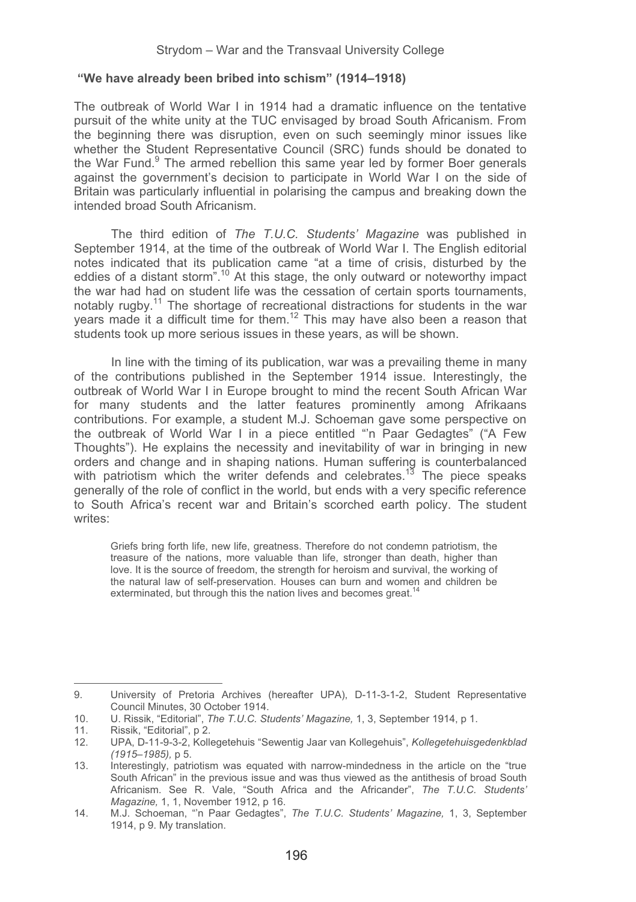#### **"We have already been bribed into schism" (1914–1918)**

The outbreak of World War I in 1914 had a dramatic influence on the tentative pursuit of the white unity at the TUC envisaged by broad South Africanism. From the beginning there was disruption, even on such seemingly minor issues like whether the Student Representative Council (SRC) funds should be donated to the War Fund.<sup>9</sup> The armed rebellion this same year led by former Boer generals against the government's decision to participate in World War I on the side of Britain was particularly influential in polarising the campus and breaking down the intended broad South Africanism.

The third edition of *The T.U.C. Students' Magazine* was published in September 1914, at the time of the outbreak of World War I. The English editorial notes indicated that its publication came "at a time of crisis, disturbed by the eddies of a distant storm".10 At this stage, the only outward or noteworthy impact the war had had on student life was the cessation of certain sports tournaments, notably rugby.<sup>11</sup> The shortage of recreational distractions for students in the war years made it a difficult time for them.12 This may have also been a reason that students took up more serious issues in these years, as will be shown.

In line with the timing of its publication, war was a prevailing theme in many of the contributions published in the September 1914 issue. Interestingly, the outbreak of World War I in Europe brought to mind the recent South African War for many students and the latter features prominently among Afrikaans contributions. For example, a student M.J. Schoeman gave some perspective on the outbreak of World War I in a piece entitled "'n Paar Gedagtes" ("A Few Thoughts"). He explains the necessity and inevitability of war in bringing in new orders and change and in shaping nations. Human suffering is counterbalanced with patriotism which the writer defends and celebrates.<sup>13</sup> The piece speaks generally of the role of conflict in the world, but ends with a very specific reference to South Africa's recent war and Britain's scorched earth policy. The student writes:

 Griefs bring forth life, new life, greatness. Therefore do not condemn patriotism, the treasure of the nations, more valuable than life, stronger than death, higher than love. It is the source of freedom, the strength for heroism and survival, the working of the natural law of self-preservation. Houses can burn and women and children be exterminated, but through this the nation lives and becomes great.<sup>14</sup>

<sup>9.</sup> University of Pretoria Archives (hereafter UPA), D-11-3-1-2, Student Representative Council Minutes, 30 October 1914.

<sup>10.</sup> U. Rissik, "Editorial", *The T.U.C. Students' Magazine,* 1, 3, September 1914, p 1.

<sup>11.</sup> Rissik, "Editorial", p 2.<br>12. UPA. D-11-9-3-2. Kolle

<sup>12.</sup> UPA, D-11-9-3-2, Kollegetehuis "Sewentig Jaar van Kollegehuis", *Kollegetehuisgedenkblad (1915–1985),* p 5.

<sup>13.</sup> Interestingly, patriotism was equated with narrow-mindedness in the article on the "true South African" in the previous issue and was thus viewed as the antithesis of broad South Africanism. See R. Vale, "South Africa and the Africander", *The T.U.C. Students' Magazine,* 1, 1, November 1912, p 16.

<sup>14.</sup> M.J. Schoeman, "'n Paar Gedagtes", *The T.U.C. Students' Magazine,* 1, 3, September 1914, p 9. My translation.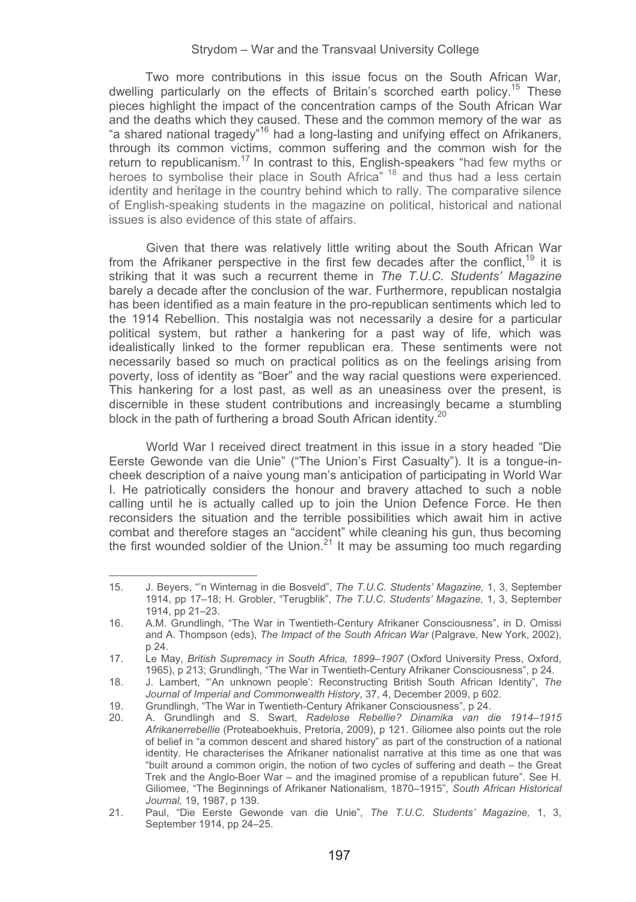Two more contributions in this issue focus on the South African War, dwelling particularly on the effects of Britain's scorched earth policy.<sup>15</sup> These pieces highlight the impact of the concentration camps of the South African War and the deaths which they caused. These and the common memory of the war as "a shared national tragedy"16 had a long-lasting and unifying effect on Afrikaners, through its common victims, common suffering and the common wish for the return to republicanism.<sup>17</sup> In contrast to this, English-speakers "had few myths or heroes to symbolise their place in South Africa<sup>" 18</sup> and thus had a less certain identity and heritage in the country behind which to rally. The comparative silence of English-speaking students in the magazine on political, historical and national issues is also evidence of this state of affairs.

Given that there was relatively little writing about the South African War from the Afrikaner perspective in the first few decades after the conflict.<sup>19</sup> it is striking that it was such a recurrent theme in *The T.U.C. Students' Magazine* barely a decade after the conclusion of the war. Furthermore, republican nostalgia has been identified as a main feature in the pro-republican sentiments which led to the 1914 Rebellion. This nostalgia was not necessarily a desire for a particular political system, but rather a hankering for a past way of life, which was idealistically linked to the former republican era. These sentiments were not necessarily based so much on practical politics as on the feelings arising from poverty, loss of identity as "Boer" and the way racial questions were experienced. This hankering for a lost past, as well as an uneasiness over the present, is discernible in these student contributions and increasingly became a stumbling block in the path of furthering a broad South African identity.<sup>2</sup>

World War I received direct treatment in this issue in a story headed "Die Eerste Gewonde van die Unie" ("The Union's First Casualty"). It is a tongue-incheek description of a naive young man's anticipation of participating in World War I. He patriotically considers the honour and bravery attached to such a noble calling until he is actually called up to join the Union Defence Force. He then reconsiders the situation and the terrible possibilities which await him in active combat and therefore stages an "accident" while cleaning his gun, thus becoming the first wounded soldier of the Union.<sup>21</sup> It may be assuming too much regarding

<sup>15.</sup> J. Beyers, "'n Winternag in die Bosveld", *The T.U.C. Students' Magazine,* 1, 3, September 1914, pp 17–18; H. Grobler, "Terugblik", *The T.U.C. Students' Magazine,* 1, 3, September 1914, pp 21–23.

<sup>16.</sup> A.M. Grundlingh, "The War in Twentieth-Century Afrikaner Consciousness", in D. Omissi and A. Thompson (eds), *The Impact of the South African War* (Palgrave, New York, 2002), p 24.

<sup>17.</sup> Le May, *British Supremacy in South Africa, 1899–1907* (Oxford University Press, Oxford, 1965), p 213; Grundlingh, "The War in Twentieth-Century Afrikaner Consciousness", p 24.

<sup>18.</sup> J. Lambert, "'An unknown people': Reconstructing British South African Identity", *The Journal of Imperial and Commonwealth History*, 37, 4, December 2009, p 602.

<sup>19.</sup> Grundlingh, "The War in Twentieth-Century Afrikaner Consciousness", p 24.

<sup>20.</sup> A. Grundlingh and S. Swart, *Radelose Rebellie? Dinamika van die 1914–1915 Afrikanerrebellie* (Proteaboekhuis, Pretoria, 2009), p 121. Giliomee also points out the role of belief in "a common descent and shared history" as part of the construction of a national identity. He characterises the Afrikaner nationalist narrative at this time as one that was "built around a common origin, the notion of two cycles of suffering and death – the Great Trek and the Anglo-Boer War – and the imagined promise of a republican future". See H. Giliomee, "The Beginnings of Afrikaner Nationalism, 1870–1915", *South African Historical Journal,* 19, 1987, p 139.

<sup>21.</sup> Paul, "Die Eerste Gewonde van die Unie", *The T.U.C. Students' Magazine,* 1, 3, September 1914, pp 24–25.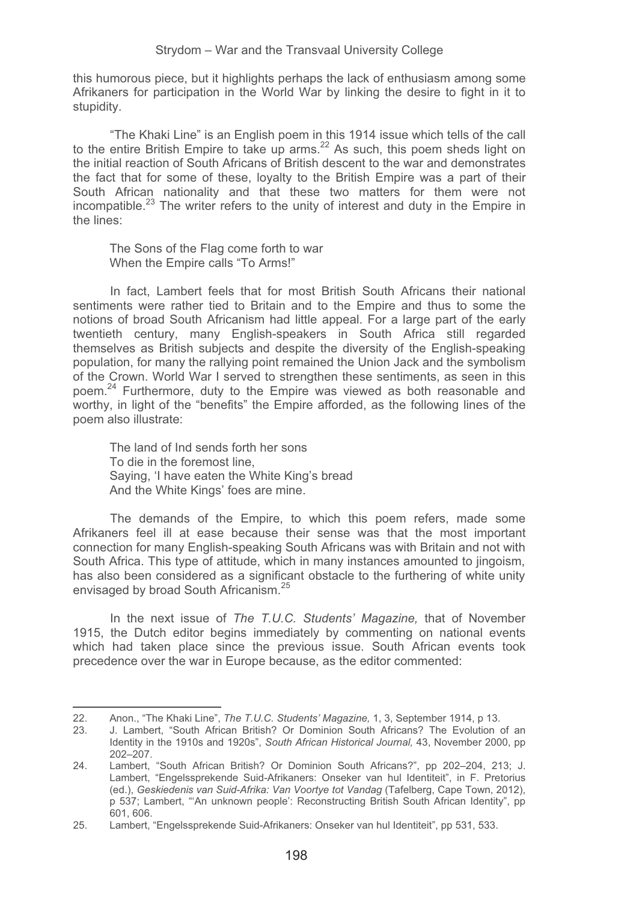this humorous piece, but it highlights perhaps the lack of enthusiasm among some Afrikaners for participation in the World War by linking the desire to fight in it to stupidity.

"The Khaki Line" is an English poem in this 1914 issue which tells of the call to the entire British Empire to take up arms.<sup>22</sup> As such, this poem sheds light on the initial reaction of South Africans of British descent to the war and demonstrates the fact that for some of these, loyalty to the British Empire was a part of their South African nationality and that these two matters for them were not incompatible.<sup>23</sup> The writer refers to the unity of interest and duty in the Empire in the lines:

The Sons of the Flag come forth to war When the Empire calls "To Arms!"

In fact, Lambert feels that for most British South Africans their national sentiments were rather tied to Britain and to the Empire and thus to some the notions of broad South Africanism had little appeal. For a large part of the early twentieth century, many English-speakers in South Africa still regarded themselves as British subjects and despite the diversity of the English-speaking population, for many the rallying point remained the Union Jack and the symbolism of the Crown. World War I served to strengthen these sentiments, as seen in this poem.24 Furthermore, duty to the Empire was viewed as both reasonable and worthy, in light of the "benefits" the Empire afforded, as the following lines of the poem also illustrate:

The land of Ind sends forth her sons To die in the foremost line, Saying, 'I have eaten the White King's bread And the White Kings' foes are mine.

-----------------------------------------------------------

The demands of the Empire, to which this poem refers, made some Afrikaners feel ill at ease because their sense was that the most important connection for many English-speaking South Africans was with Britain and not with South Africa. This type of attitude, which in many instances amounted to jingoism, has also been considered as a significant obstacle to the furthering of white unity envisaged by broad South Africanism.<sup>25</sup>

In the next issue of *The T.U.C. Students' Magazine,* that of November 1915, the Dutch editor begins immediately by commenting on national events which had taken place since the previous issue. South African events took precedence over the war in Europe because, as the editor commented:

<sup>22.</sup> Anon., "The Khaki Line", *The T.U.C. Students' Magazine,* 1, 3, September 1914, p 13.

<sup>23.</sup> J. Lambert, "South African British? Or Dominion South Africans? The Evolution of an Identity in the 1910s and 1920s", *South African Historical Journal,* 43, November 2000, pp 202–207.

<sup>24.</sup> Lambert, "South African British? Or Dominion South Africans?", pp 202–204, 213; J. Lambert, "Engelssprekende Suid-Afrikaners: Onseker van hul Identiteit", in F. Pretorius (ed.), *Geskiedenis van Suid-Afrika: Van Voortye tot Vandag* (Tafelberg, Cape Town, 2012), p 537; Lambert, "'An unknown people': Reconstructing British South African Identity", pp 601, 606.

<sup>25.</sup> Lambert, "Engelssprekende Suid-Afrikaners: Onseker van hul Identiteit", pp 531, 533.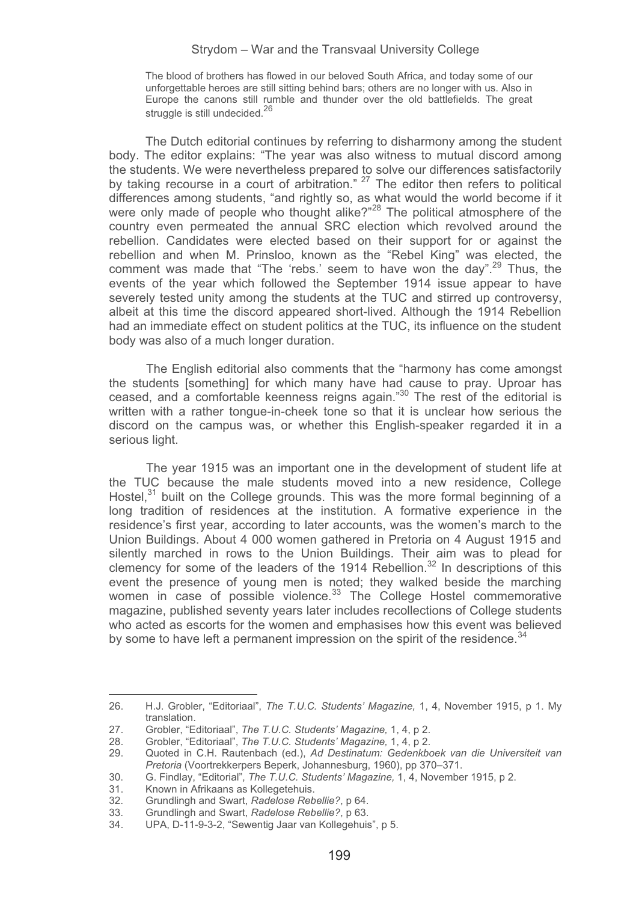The blood of brothers has flowed in our beloved South Africa, and today some of our unforgettable heroes are still sitting behind bars; others are no longer with us. Also in Europe the canons still rumble and thunder over the old battlefields. The great struggle is still undecided.<sup>26</sup>

The Dutch editorial continues by referring to disharmony among the student body. The editor explains: "The year was also witness to mutual discord among the students. We were nevertheless prepared to solve our differences satisfactorily by taking recourse in a court of arbitration." <sup>27</sup> The editor then refers to political differences among students, "and rightly so, as what would the world become if it were only made of people who thought alike?"<sup>28</sup> The political atmosphere of the country even permeated the annual SRC election which revolved around the rebellion. Candidates were elected based on their support for or against the rebellion and when M. Prinsloo, known as the "Rebel King" was elected, the comment was made that "The 'rebs.' seem to have won the day".<sup>29</sup> Thus, the events of the year which followed the September 1914 issue appear to have severely tested unity among the students at the TUC and stirred up controversy, albeit at this time the discord appeared short-lived. Although the 1914 Rebellion had an immediate effect on student politics at the TUC, its influence on the student body was also of a much longer duration.

The English editorial also comments that the "harmony has come amongst the students [something] for which many have had cause to pray. Uproar has ceased, and a comfortable keenness reigns again."30 The rest of the editorial is written with a rather tongue-in-cheek tone so that it is unclear how serious the discord on the campus was, or whether this English-speaker regarded it in a serious light.

The year 1915 was an important one in the development of student life at the TUC because the male students moved into a new residence, College Hostel. $31$  built on the College grounds. This was the more formal beginning of a long tradition of residences at the institution. A formative experience in the residence's first year, according to later accounts, was the women's march to the Union Buildings. About 4 000 women gathered in Pretoria on 4 August 1915 and silently marched in rows to the Union Buildings. Their aim was to plead for clemency for some of the leaders of the 1914 Rebellion.<sup>32</sup> In descriptions of this event the presence of young men is noted; they walked beside the marching women in case of possible violence.<sup>33</sup> The College Hostel commemorative magazine, published seventy years later includes recollections of College students who acted as escorts for the women and emphasises how this event was believed by some to have left a permanent impression on the spirit of the residence.<sup>34</sup>

<sup>26.</sup> H.J. Grobler, "Editoriaal", *The T.U.C. Students' Magazine,* 1, 4, November 1915, p 1. My translation.

<sup>27.</sup> Grobler, "Editoriaal", *The T.U.C. Students' Magazine,* 1, 4, p 2.

<sup>28.</sup> Grobler, "Editoriaal", *The T.U.C. Students' Magazine,* 1, 4, p 2.

<sup>29.</sup> Quoted in C.H. Rautenbach (ed.), *Ad Destinatum: Gedenkboek van die Universiteit van Pretoria* (Voortrekkerpers Beperk, Johannesburg, 1960), pp 370–371. 30. G. Findlay, "Editorial", *The T.U.C. Students' Magazine,* 1, 4, November 1915, p 2.

<sup>31.</sup> Known in Afrikaans as Kollegetehuis.<br>32 Grundlingh and Swart, Radelose Reb

<sup>32.</sup> Grundlingh and Swart, *Radelose Rebellie?*, p 64.

<sup>33.</sup> Grundlingh and Swart, *Radelose Rebellie?*, p 63.

UPA, D-11-9-3-2, "Sewentig Jaar van Kollegehuis", p 5.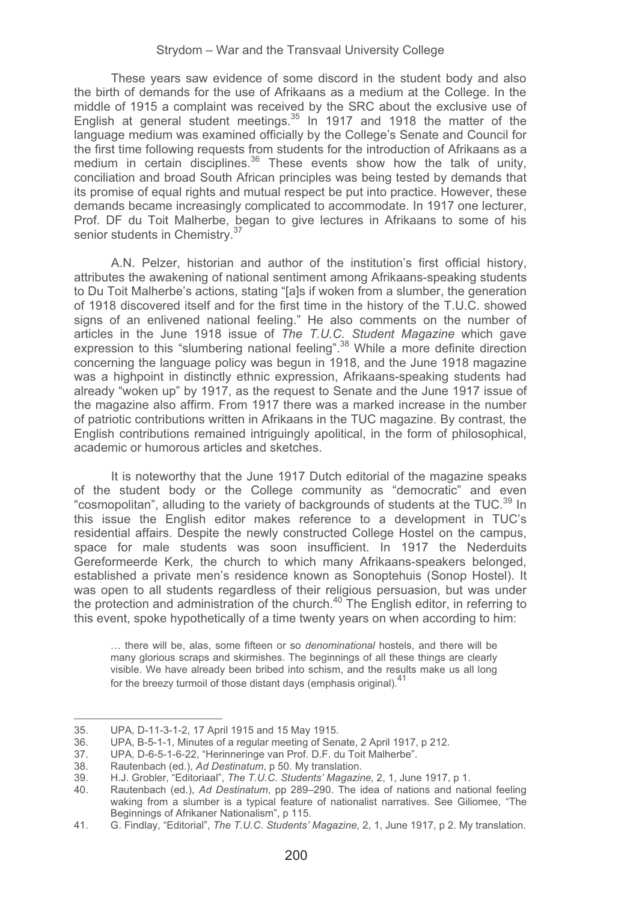These years saw evidence of some discord in the student body and also the birth of demands for the use of Afrikaans as a medium at the College. In the middle of 1915 a complaint was received by the SRC about the exclusive use of English at general student meetings.<sup>35</sup> In 1917 and 1918 the matter of the language medium was examined officially by the College's Senate and Council for the first time following requests from students for the introduction of Afrikaans as a medium in certain disciplines.<sup>36</sup> These events show how the talk of unity, conciliation and broad South African principles was being tested by demands that its promise of equal rights and mutual respect be put into practice. However, these demands became increasingly complicated to accommodate. In 1917 one lecturer, Prof. DF du Toit Malherbe, began to give lectures in Afrikaans to some of his senior students in Chemistry.<sup>37</sup>

A.N. Pelzer, historian and author of the institution's first official history, attributes the awakening of national sentiment among Afrikaans-speaking students to Du Toit Malherbe's actions, stating "[a]s if woken from a slumber, the generation of 1918 discovered itself and for the first time in the history of the T.U.C. showed signs of an enlivened national feeling." He also comments on the number of articles in the June 1918 issue of *The T.U.C. Student Magazine* which gave expression to this "slumbering national feeling".38 While a more definite direction concerning the language policy was begun in 1918, and the June 1918 magazine was a highpoint in distinctly ethnic expression, Afrikaans-speaking students had already "woken up" by 1917, as the request to Senate and the June 1917 issue of the magazine also affirm. From 1917 there was a marked increase in the number of patriotic contributions written in Afrikaans in the TUC magazine. By contrast, the English contributions remained intriguingly apolitical, in the form of philosophical, academic or humorous articles and sketches.

It is noteworthy that the June 1917 Dutch editorial of the magazine speaks of the student body or the College community as "democratic" and even "cosmopolitan", alluding to the variety of backgrounds of students at the TUC. $^{39}$  In this issue the English editor makes reference to a development in TUC's residential affairs. Despite the newly constructed College Hostel on the campus, space for male students was soon insufficient. In 1917 the Nederduits Gereformeerde Kerk, the church to which many Afrikaans-speakers belonged, established a private men's residence known as Sonoptehuis (Sonop Hostel). It was open to all students regardless of their religious persuasion, but was under the protection and administration of the church. $40$  The English editor, in referring to this event, spoke hypothetically of a time twenty years on when according to him:

… there will be, alas, some fifteen or so *denominational* hostels, and there will be many glorious scraps and skirmishes. The beginnings of all these things are clearly visible. We have already been bribed into schism, and the results make us all long for the breezy turmoil of those distant days (emphasis original).<sup>41</sup>

------------------------------------------------ --

<sup>-</sup>--------35. UPA, D-11-3-1-2, 17 April 1915 and 15 May 1915.

<sup>36.</sup> UPA, B-5-1-1, Minutes of a regular meeting of Senate, 2 April 1917, p 212.

<sup>37.</sup> UPA, D-6-5-1-6-22, "Herinneringe van Prof. D.F. du Toit Malherbe".<br>38. Rautenbach (ed.). Ad Destinatum. p 50. My translation.

<sup>38.</sup> Rautenbach (ed.), *Ad Destinatum*, p 50. My translation.

<sup>39.</sup> H.J. Grobler, "Editoriaal", *The T.U.C. Students' Magazine,* 2, 1, June 1917, p 1.

<sup>40.</sup> Rautenbach (ed.), *Ad Destinatum*, pp 289–290. The idea of nations and national feeling waking from a slumber is a typical feature of nationalist narratives. See Giliomee, "The Beginnings of Afrikaner Nationalism", p 115.

<sup>41.</sup> G. Findlay, "Editorial", *The T.U.C. Students' Magazine,* 2, 1, June 1917, p 2. My translation.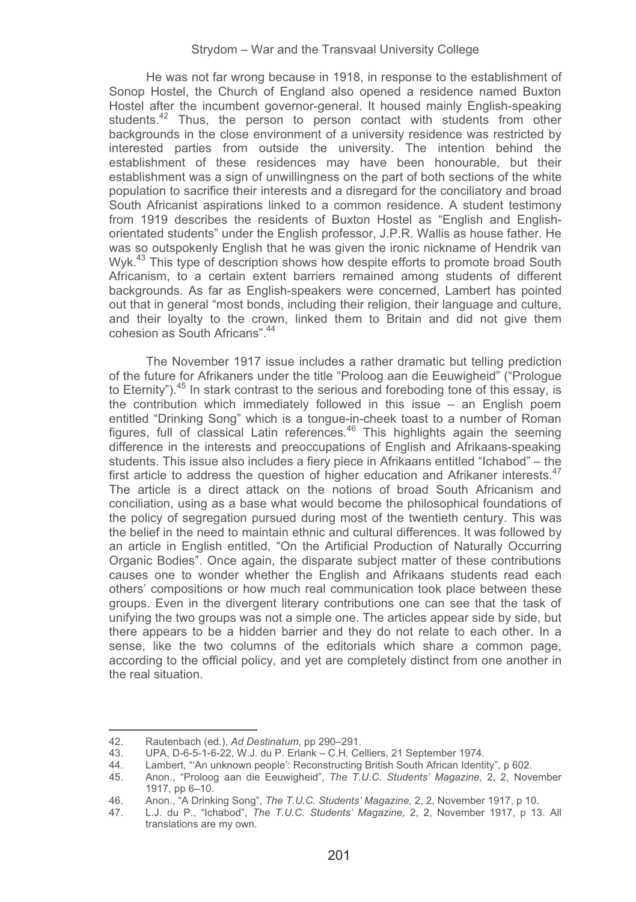He was not far wrong because in 1918, in response to the establishment of Sonop Hostel, the Church of England also opened a residence named Buxton Hostel after the incumbent governor-general. It housed mainly English-speaking students.<sup>42</sup> Thus, the person to person contact with students from other backgrounds in the close environment of a university residence was restricted by interested parties from outside the university. The intention behind the establishment of these residences may have been honourable, but their establishment was a sign of unwillingness on the part of both sections of the white population to sacrifice their interests and a disregard for the conciliatory and broad South Africanist aspirations linked to a common residence. A student testimony from 1919 describes the residents of Buxton Hostel as "English and Englishorientated students" under the English professor, J.P.R. Wallis as house father. He was so outspokenly English that he was given the ironic nickname of Hendrik van Wyk.<sup>43</sup> This type of description shows how despite efforts to promote broad South Africanism, to a certain extent barriers remained among students of different backgrounds. As far as English-speakers were concerned, Lambert has pointed out that in general "most bonds, including their religion, their language and culture, and their loyalty to the crown, linked them to Britain and did not give them cohesion as South Africans".44

The November 1917 issue includes a rather dramatic but telling prediction of the future for Afrikaners under the title "Proloog aan die Eeuwigheid" ("Prologue to Eternity").<sup>45</sup> In stark contrast to the serious and foreboding tone of this essay, is the contribution which immediately followed in this issue – an English poem entitled "Drinking Song" which is a tongue-in-cheek toast to a number of Roman figures, full of classical Latin references.46 This highlights again the seeming difference in the interests and preoccupations of English and Afrikaans-speaking students. This issue also includes a fiery piece in Afrikaans entitled "Ichabod" – the first article to address the question of higher education and Afrikaner interests.<sup>47</sup> The article is a direct attack on the notions of broad South Africanism and conciliation, using as a base what would become the philosophical foundations of the policy of segregation pursued during most of the twentieth century. This was the belief in the need to maintain ethnic and cultural differences. It was followed by an article in English entitled, "On the Artificial Production of Naturally Occurring Organic Bodies". Once again, the disparate subject matter of these contributions causes one to wonder whether the English and Afrikaans students read each others' compositions or how much real communication took place between these groups. Even in the divergent literary contributions one can see that the task of unifying the two groups was not a simple one. The articles appear side by side, but there appears to be a hidden barrier and they do not relate to each other. In a sense, like the two columns of the editorials which share a common page, according to the official policy, and yet are completely distinct from one another in the real situation.

----

----------------------------------------------

<sup>-</sup>--------42. Rautenbach (ed.), *Ad Destinatum*, pp 290–291.

<sup>43.</sup> UPA, D-6-5-1-6-22, W.J. du P. Erlank – C.H. Celliers, 21 September 1974.

<sup>44.</sup> Lambert, "'An unknown people': Reconstructing British South African Identity", p 602.<br>45 Anon "Proloog aan die Eeuwigheid". The T.U.C. Students' Magazine. 2. 2. Nov.

<sup>45.</sup> Anon., "Proloog aan die Eeuwigheid", *The T.U.C. Students' Magazine,* 2, 2, November 1917, pp 6–10.

<sup>46.</sup> Anon., "A Drinking Song", *The T.U.C. Students' Magazine,* 2, 2, November 1917, p 10.

<sup>47.</sup> L.J. du P., "Ichabod", *The T.U.C. Students' Magazine,* 2, 2, November 1917, p 13. All translations are my own.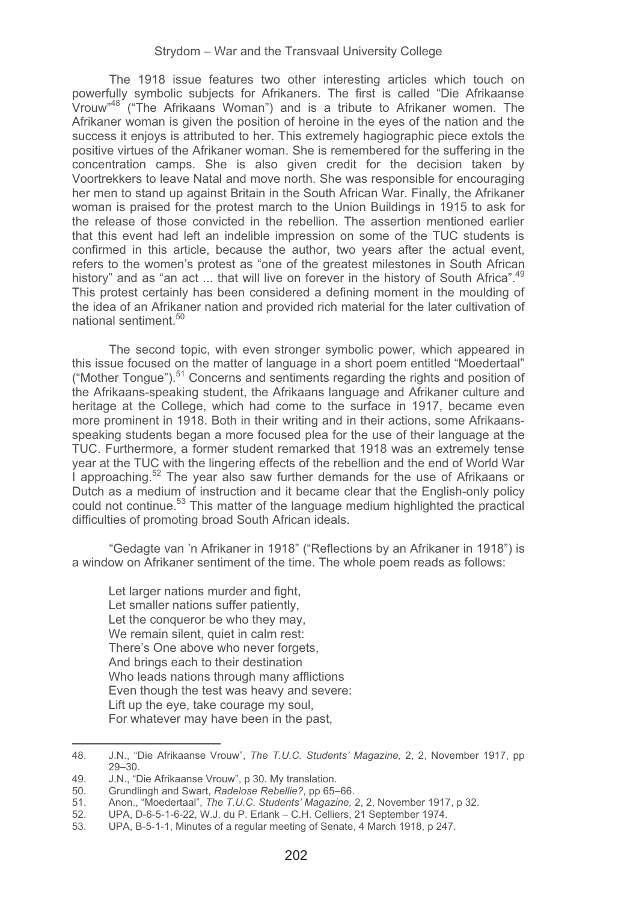The 1918 issue features two other interesting articles which touch on powerfully symbolic subjects for Afrikaners. The first is called "Die Afrikaanse Vrouw"48 ("The Afrikaans Woman") and is a tribute to Afrikaner women. The Afrikaner woman is given the position of heroine in the eyes of the nation and the success it enjoys is attributed to her. This extremely hagiographic piece extols the positive virtues of the Afrikaner woman. She is remembered for the suffering in the concentration camps. She is also given credit for the decision taken by Voortrekkers to leave Natal and move north. She was responsible for encouraging her men to stand up against Britain in the South African War. Finally, the Afrikaner woman is praised for the protest march to the Union Buildings in 1915 to ask for the release of those convicted in the rebellion. The assertion mentioned earlier that this event had left an indelible impression on some of the TUC students is confirmed in this article, because the author, two years after the actual event, refers to the women's protest as "one of the greatest milestones in South African history" and as "an act ... that will live on forever in the history of South Africa".<sup>49</sup> This protest certainly has been considered a defining moment in the moulding of the idea of an Afrikaner nation and provided rich material for the later cultivation of national sentiment.50

The second topic, with even stronger symbolic power, which appeared in this issue focused on the matter of language in a short poem entitled "Moedertaal" ("Mother Tongue").<sup>51</sup> Concerns and sentiments regarding the rights and position of the Afrikaans-speaking student, the Afrikaans language and Afrikaner culture and heritage at the College, which had come to the surface in 1917, became even more prominent in 1918. Both in their writing and in their actions, some Afrikaansspeaking students began a more focused plea for the use of their language at the TUC. Furthermore, a former student remarked that 1918 was an extremely tense year at the TUC with the lingering effects of the rebellion and the end of World War I approaching.<sup>52</sup> The year also saw further demands for the use of Afrikaans or Dutch as a medium of instruction and it became clear that the English-only policy could not continue.<sup>53</sup> This matter of the language medium highlighted the practical difficulties of promoting broad South African ideals.

"Gedagte van 'n Afrikaner in 1918" ("Reflections by an Afrikaner in 1918") is a window on Afrikaner sentiment of the time. The whole poem reads as follows:

Let larger nations murder and fight, Let smaller nations suffer patiently, Let the conqueror be who they may. We remain silent, quiet in calm rest: There's One above who never forgets. And brings each to their destination Who leads nations through many afflictions Even though the test was heavy and severe: Lift up the eye, take courage my soul, For whatever may have been in the past,

<sup>48.</sup> J.N., "Die Afrikaanse Vrouw", *The T.U.C. Students' Magazine,* 2, 2, November 1917, pp 29–30.

<sup>49.</sup> J.N., "Die Afrikaanse Vrouw", p 30. My translation.<br>50. Grundlingh and Swart *Radelose Rebellie*? pp 65-

<sup>50.</sup> Grundlingh and Swart, *Radelose Rebellie?*, pp 65–66.

<sup>51.</sup> Anon., "Moedertaal", *The T.U.C. Students' Magazine,* 2, 2, November 1917, p 32.

<sup>52.</sup> UPA, D-6-5-1-6-22, W.J. du P. Erlank – C.H. Celliers, 21 September 1974.

<sup>53.</sup> UPA, B-5-1-1, Minutes of a regular meeting of Senate, 4 March 1918, p 247.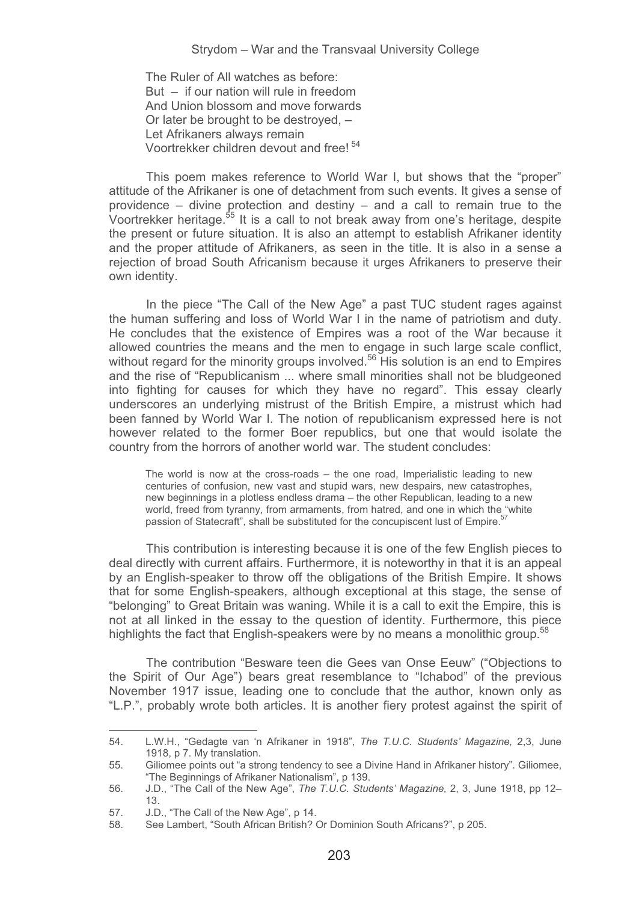The Ruler of All watches as before: But – if our nation will rule in freedom And Union blossom and move forwards Or later be brought to be destroyed, – Let Afrikaners always remain Voortrekker children devout and free! 54

This poem makes reference to World War I, but shows that the "proper" attitude of the Afrikaner is one of detachment from such events. It gives a sense of providence – divine protection and destiny – and a call to remain true to the Voortrekker heritage.55 It is a call to not break away from one's heritage, despite the present or future situation. It is also an attempt to establish Afrikaner identity and the proper attitude of Afrikaners, as seen in the title. It is also in a sense a rejection of broad South Africanism because it urges Afrikaners to preserve their own identity.

In the piece "The Call of the New Age" a past TUC student rages against the human suffering and loss of World War I in the name of patriotism and duty. He concludes that the existence of Empires was a root of the War because it allowed countries the means and the men to engage in such large scale conflict, without regard for the minority groups involved.<sup>56</sup> His solution is an end to Empires and the rise of "Republicanism ... where small minorities shall not be bludgeoned into fighting for causes for which they have no regard". This essay clearly underscores an underlying mistrust of the British Empire, a mistrust which had been fanned by World War I. The notion of republicanism expressed here is not however related to the former Boer republics, but one that would isolate the country from the horrors of another world war. The student concludes:

The world is now at the cross-roads – the one road, Imperialistic leading to new centuries of confusion, new vast and stupid wars, new despairs, new catastrophes, new beginnings in a plotless endless drama – the other Republican, leading to a new world, freed from tyranny, from armaments, from hatred, and one in which the "white passion of Statecraft", shall be substituted for the concupiscent lust of Empire.<sup>57</sup>

This contribution is interesting because it is one of the few English pieces to deal directly with current affairs. Furthermore, it is noteworthy in that it is an appeal by an English-speaker to throw off the obligations of the British Empire. It shows that for some English-speakers, although exceptional at this stage, the sense of "belonging" to Great Britain was waning. While it is a call to exit the Empire, this is not at all linked in the essay to the question of identity. Furthermore, this piece highlights the fact that English-speakers were by no means a monolithic group.<sup>58</sup>

The contribution "Besware teen die Gees van Onse Eeuw" ("Objections to the Spirit of Our Age") bears great resemblance to "Ichabod" of the previous November 1917 issue, leading one to conclude that the author, known only as "L.P.", probably wrote both articles. It is another fiery protest against the spirit of

54. L.W.H., "Gedagte van 'n Afrikaner in 1918", *The T.U.C. Students' Magazine,* 2,3, June 1918, p 7. My translation.

<sup>55.</sup> Giliomee points out "a strong tendency to see a Divine Hand in Afrikaner history". Giliomee, "The Beginnings of Afrikaner Nationalism", p 139.

<sup>56.</sup> J.D., "The Call of the New Age", *The T.U.C. Students' Magazine,* 2, 3, June 1918, pp 12– 13.

<sup>57.</sup> J.D., "The Call of the New Age", p 14.<br>58. See Lambert. "South African British?

<sup>58.</sup> See Lambert, "South African British? Or Dominion South Africans?", p 205.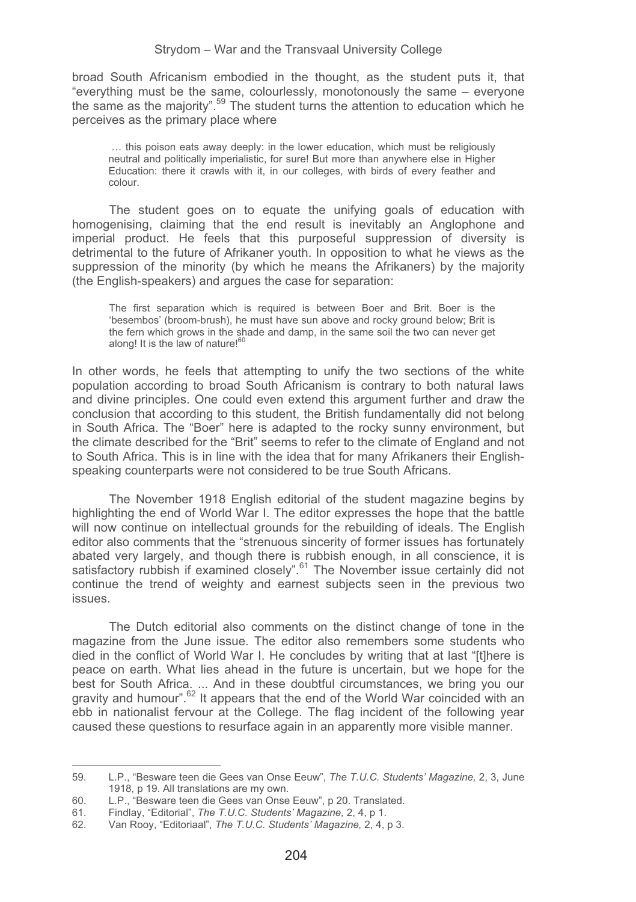broad South Africanism embodied in the thought, as the student puts it, that "everything must be the same, colourlessly, monotonously the same – everyone the same as the majority".59 The student turns the attention to education which he perceives as the primary place where

 … this poison eats away deeply: in the lower education, which must be religiously neutral and politically imperialistic, for sure! But more than anywhere else in Higher Education: there it crawls with it, in our colleges, with birds of every feather and colour.

The student goes on to equate the unifying goals of education with homogenising, claiming that the end result is inevitably an Anglophone and imperial product. He feels that this purposeful suppression of diversity is detrimental to the future of Afrikaner youth. In opposition to what he views as the suppression of the minority (by which he means the Afrikaners) by the majority (the English-speakers) and argues the case for separation:

The first separation which is required is between Boer and Brit. Boer is the 'besembos' (broom-brush), he must have sun above and rocky ground below; Brit is the fern which grows in the shade and damp, in the same soil the two can never get along! It is the law of nature! $60$ 

In other words, he feels that attempting to unify the two sections of the white population according to broad South Africanism is contrary to both natural laws and divine principles. One could even extend this argument further and draw the conclusion that according to this student, the British fundamentally did not belong in South Africa. The "Boer" here is adapted to the rocky sunny environment, but the climate described for the "Brit" seems to refer to the climate of England and not to South Africa. This is in line with the idea that for many Afrikaners their Englishspeaking counterparts were not considered to be true South Africans.

The November 1918 English editorial of the student magazine begins by highlighting the end of World War I. The editor expresses the hope that the battle will now continue on intellectual grounds for the rebuilding of ideals. The English editor also comments that the "strenuous sincerity of former issues has fortunately abated very largely, and though there is rubbish enough, in all conscience, it is satisfactory rubbish if examined closely".<sup>61</sup> The November issue certainly did not continue the trend of weighty and earnest subjects seen in the previous two issues.

The Dutch editorial also comments on the distinct change of tone in the magazine from the June issue. The editor also remembers some students who died in the conflict of World War I. He concludes by writing that at last "[t]here is peace on earth. What lies ahead in the future is uncertain, but we hope for the best for South Africa. ... And in these doubtful circumstances, we bring you our gravity and humour".<sup>62</sup> It appears that the end of the World War coincided with an ebb in nationalist fervour at the College. The flag incident of the following year caused these questions to resurface again in an apparently more visible manner.

<sup>59.</sup> L.P., "Besware teen die Gees van Onse Eeuw", *The T.U.C. Students' Magazine,* 2, 3, June 1918, p 19. All translations are my own.

<sup>60.</sup> L.P., "Besware teen die Gees van Onse Eeuw", p 20. Translated.<br>61 Findlay "Editorial". The T.U.C. Students' Magazine, 2, 4, p 1.

<sup>61.</sup> Findlay, "Editorial", *The T.U.C. Students' Magazine,* 2, 4, p 1.

<sup>62.</sup> Van Rooy, "Editoriaal", *The T.U.C. Students' Magazine,* 2, 4, p 3.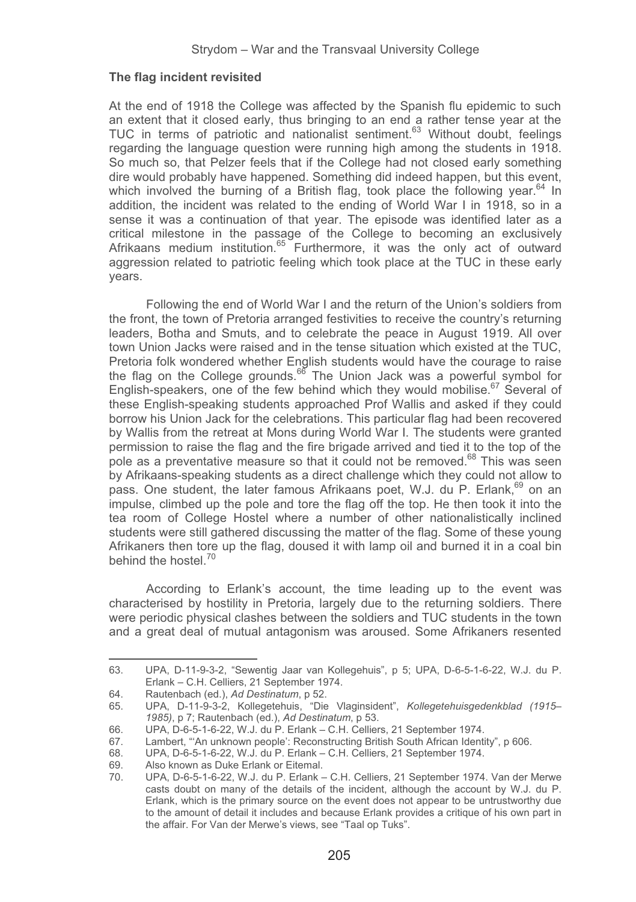## **The flag incident revisited**

At the end of 1918 the College was affected by the Spanish flu epidemic to such an extent that it closed early, thus bringing to an end a rather tense year at the TUC in terms of patriotic and nationalist sentiment.<sup>63</sup> Without doubt, feelings regarding the language question were running high among the students in 1918. So much so, that Pelzer feels that if the College had not closed early something dire would probably have happened. Something did indeed happen, but this event, which involved the burning of a British flag, took place the following year.<sup>64</sup> In addition, the incident was related to the ending of World War I in 1918, so in a sense it was a continuation of that year. The episode was identified later as a critical milestone in the passage of the College to becoming an exclusively Afrikaans medium institution.<sup>65</sup> Furthermore, it was the only act of outward aggression related to patriotic feeling which took place at the TUC in these early years.

Following the end of World War I and the return of the Union's soldiers from the front, the town of Pretoria arranged festivities to receive the country's returning leaders, Botha and Smuts, and to celebrate the peace in August 1919. All over town Union Jacks were raised and in the tense situation which existed at the TUC, Pretoria folk wondered whether English students would have the courage to raise the flag on the College grounds.<sup>66</sup> The Union Jack was a powerful symbol for English-speakers, one of the few behind which they would mobilise. $67$  Several of these English-speaking students approached Prof Wallis and asked if they could borrow his Union Jack for the celebrations. This particular flag had been recovered by Wallis from the retreat at Mons during World War I. The students were granted permission to raise the flag and the fire brigade arrived and tied it to the top of the pole as a preventative measure so that it could not be removed. $68$  This was seen by Afrikaans-speaking students as a direct challenge which they could not allow to pass. One student, the later famous Afrikaans poet, W.J. du P. Erlank, <sup>69</sup> on an impulse, climbed up the pole and tore the flag off the top. He then took it into the tea room of College Hostel where a number of other nationalistically inclined students were still gathered discussing the matter of the flag. Some of these young Afrikaners then tore up the flag, doused it with lamp oil and burned it in a coal bin behind the hostel.<sup>70</sup>

According to Erlank's account, the time leading up to the event was characterised by hostility in Pretoria, largely due to the returning soldiers. There were periodic physical clashes between the soldiers and TUC students in the town and a great deal of mutual antagonism was aroused. Some Afrikaners resented

<sup>63.</sup> UPA, D-11-9-3-2, "Sewentig Jaar van Kollegehuis", p 5; UPA, D-6-5-1-6-22, W.J. du P. Erlank – C.H. Celliers, 21 September 1974.

<sup>64.</sup> Rautenbach (ed.), *Ad Destinatum*, p 52.

<sup>65.</sup> UPA, D-11-9-3-2, Kollegetehuis, "Die Vlaginsident", *Kollegetehuisgedenkblad (1915– 1985)*, p 7; Rautenbach (ed.), *Ad Destinatum*, p 53.

<sup>66.</sup> UPA, D-6-5-1-6-22, W.J. du P. Erlank – C.H. Celliers, 21 September 1974.

<sup>67.</sup> Lambert, "'An unknown people': Reconstructing British South African Identity", p 606.<br>68. UPA. D-6-5-1-6-22. W.J. du P. Erlank – C.H. Celliers. 21 September 1974.

<sup>68.</sup> UPA, D-6-5-1-6-22, W.J. du P. Erlank – C.H. Celliers, 21 September 1974.

<sup>69.</sup> Also known as Duke Erlank or Eitemal.<br>70. LIPA D-6-5-1-6-22 W. Ldu P. Erlank -

<sup>70.</sup> UPA, D-6-5-1-6-22, W.J. du P. Erlank – C.H. Celliers, 21 September 1974. Van der Merwe casts doubt on many of the details of the incident, although the account by W.J. du P. Erlank, which is the primary source on the event does not appear to be untrustworthy due to the amount of detail it includes and because Erlank provides a critique of his own part in the affair. For Van der Merwe's views, see "Taal op Tuks".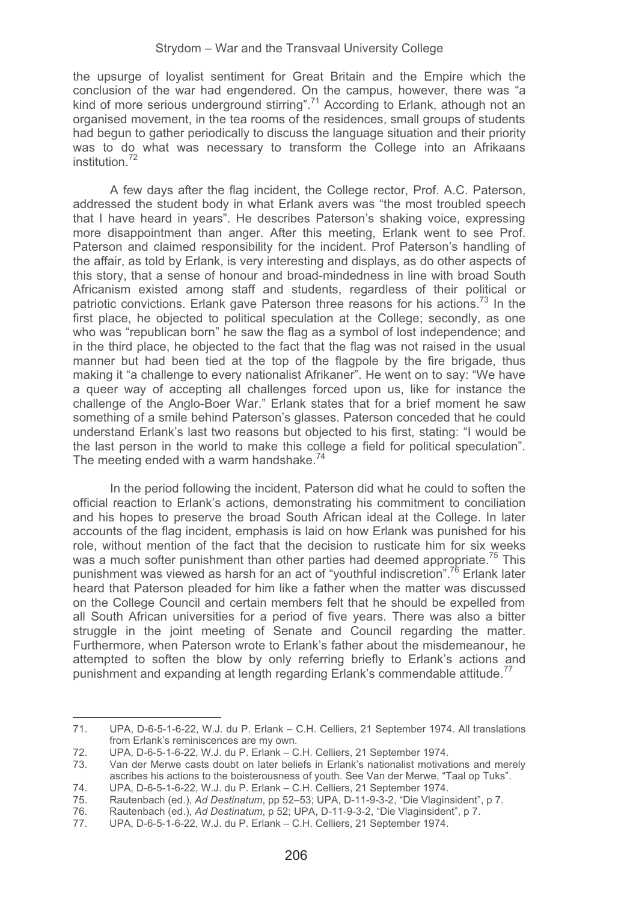the upsurge of loyalist sentiment for Great Britain and the Empire which the conclusion of the war had engendered. On the campus, however, there was "a kind of more serious underground stirring".<sup>71</sup> According to Erlank, athough not an organised movement, in the tea rooms of the residences, small groups of students had begun to gather periodically to discuss the language situation and their priority was to do what was necessary to transform the College into an Afrikaans institution<sup>72</sup>

A few days after the flag incident, the College rector, Prof. A.C. Paterson, addressed the student body in what Erlank avers was "the most troubled speech that I have heard in years". He describes Paterson's shaking voice, expressing more disappointment than anger. After this meeting, Erlank went to see Prof. Paterson and claimed responsibility for the incident. Prof Paterson's handling of the affair, as told by Erlank, is very interesting and displays, as do other aspects of this story, that a sense of honour and broad-mindedness in line with broad South Africanism existed among staff and students, regardless of their political or patriotic convictions. Erlank gave Paterson three reasons for his actions.<sup>73</sup> In the first place, he objected to political speculation at the College; secondly, as one who was "republican born" he saw the flag as a symbol of lost independence; and in the third place, he objected to the fact that the flag was not raised in the usual manner but had been tied at the top of the flagpole by the fire brigade, thus making it "a challenge to every nationalist Afrikaner". He went on to say: "We have a queer way of accepting all challenges forced upon us, like for instance the challenge of the Anglo-Boer War." Erlank states that for a brief moment he saw something of a smile behind Paterson's glasses. Paterson conceded that he could understand Erlank's last two reasons but objected to his first, stating: "I would be the last person in the world to make this college a field for political speculation". The meeting ended with a warm handshake. $74$ 

In the period following the incident, Paterson did what he could to soften the official reaction to Erlank's actions, demonstrating his commitment to conciliation and his hopes to preserve the broad South African ideal at the College. In later accounts of the flag incident, emphasis is laid on how Erlank was punished for his role, without mention of the fact that the decision to rusticate him for six weeks was a much softer punishment than other parties had deemed appropriate.<sup>75</sup> This punishment was viewed as harsh for an act of "youthful indiscretion".<sup>76</sup> Erlank later heard that Paterson pleaded for him like a father when the matter was discussed on the College Council and certain members felt that he should be expelled from all South African universities for a period of five years. There was also a bitter struggle in the joint meeting of Senate and Council regarding the matter. Furthermore, when Paterson wrote to Erlank's father about the misdemeanour, he attempted to soften the blow by only referring briefly to Erlank's actions and punishment and expanding at length regarding Erlank's commendable attitude.<sup>77</sup>

<sup>71.</sup> UPA, D-6-5-1-6-22, W.J. du P. Erlank – C.H. Celliers, 21 September 1974. All translations from Erlank's reminiscences are my own.

<sup>72.</sup> UPA, D-6-5-1-6-22, W.J. du P. Erlank – C.H. Celliers, 21 September 1974.

<sup>73.</sup> Van der Merwe casts doubt on later beliefs in Erlank's nationalist motivations and merely ascribes his actions to the boisterousness of youth. See Van der Merwe, "Taal op Tuks".

<sup>74.</sup> UPA, D-6-5-1-6-22, W.J. du P. Erlank – C.H. Celliers, 21 September 1974.

<sup>75.</sup> Rautenbach (ed.), *Ad Destinatum*, pp 52–53; UPA, D-11-9-3-2, "Die Vlaginsident", p 7.

<sup>76.</sup> Rautenbach (ed.), *Ad Destinatum*, p 52; UPA, D-11-9-3-2, "Die Vlaginsident", p 7. 77. UPA, D-6-5-1-6-22, W.J. du P. Erlank – C.H. Celliers, 21 September 1974.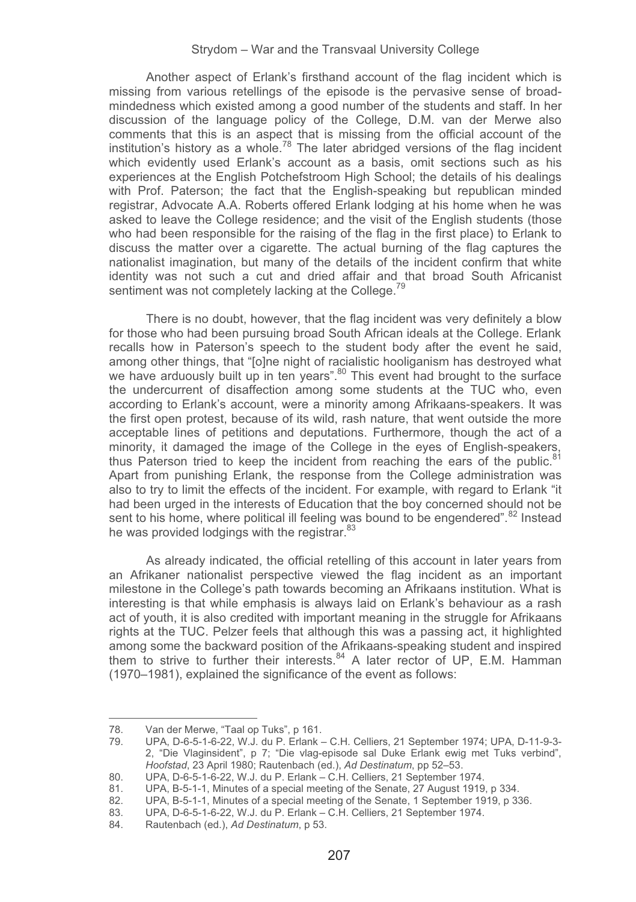Another aspect of Erlank's firsthand account of the flag incident which is missing from various retellings of the episode is the pervasive sense of broadmindedness which existed among a good number of the students and staff. In her discussion of the language policy of the College, D.M. van der Merwe also comments that this is an aspect that is missing from the official account of the institution's history as a whole.<sup>78</sup> The later abridged versions of the flag incident which evidently used Erlank's account as a basis, omit sections such as his experiences at the English Potchefstroom High School; the details of his dealings with Prof. Paterson; the fact that the English-speaking but republican minded registrar, Advocate A.A. Roberts offered Erlank lodging at his home when he was asked to leave the College residence; and the visit of the English students (those who had been responsible for the raising of the flag in the first place) to Erlank to discuss the matter over a cigarette. The actual burning of the flag captures the nationalist imagination, but many of the details of the incident confirm that white identity was not such a cut and dried affair and that broad South Africanist sentiment was not completely lacking at the College.<sup>79</sup>

There is no doubt, however, that the flag incident was very definitely a blow for those who had been pursuing broad South African ideals at the College. Erlank recalls how in Paterson's speech to the student body after the event he said, among other things, that "[o]ne night of racialistic hooliganism has destroyed what we have arduously built up in ten years".<sup>80</sup> This event had brought to the surface the undercurrent of disaffection among some students at the TUC who, even according to Erlank's account, were a minority among Afrikaans-speakers. It was the first open protest, because of its wild, rash nature, that went outside the more acceptable lines of petitions and deputations. Furthermore, though the act of a minority, it damaged the image of the College in the eyes of English-speakers, thus Paterson tried to keep the incident from reaching the ears of the public. $81$ Apart from punishing Erlank, the response from the College administration was also to try to limit the effects of the incident. For example, with regard to Erlank "it had been urged in the interests of Education that the boy concerned should not be sent to his home, where political ill feeling was bound to be engendered".<sup>82</sup> Instead he was provided lodgings with the registrar.<sup>83</sup>

As already indicated, the official retelling of this account in later years from an Afrikaner nationalist perspective viewed the flag incident as an important milestone in the College's path towards becoming an Afrikaans institution. What is interesting is that while emphasis is always laid on Erlank's behaviour as a rash act of youth, it is also credited with important meaning in the struggle for Afrikaans rights at the TUC. Pelzer feels that although this was a passing act, it highlighted among some the backward position of the Afrikaans-speaking student and inspired them to strive to further their interests. $84$  A later rector of UP, E.M. Hamman (1970–1981), explained the significance of the event as follows:

------------

-------------------------------------

<sup>-</sup>---------78. Van der Merwe, "Taal op Tuks", p 161.

<sup>79.</sup> UPA, D-6-5-1-6-22, W.J. du P. Erlank – C.H. Celliers, 21 September 1974; UPA, D-11-9-3- 2, "Die Vlaginsident", p 7; "Die vlag-episode sal Duke Erlank ewig met Tuks verbind", *Hoofstad*, 23 April 1980; Rautenbach (ed.), *Ad Destinatum*, pp 52–53.

<sup>80.</sup> UPA, D-6-5-1-6-22, W.J. du P. Erlank – C.H. Celliers, 21 September 1974. 81. UPA, B-5-1-1, Minutes of a special meeting of the Senate, 27 August 1919, p 334.<br>82 UPA. B-5-1-1. Minutes of a special meeting of the Senate, 1 September 1919, p 33

<sup>82.</sup> UPA, B-5-1-1, Minutes of a special meeting of the Senate, 1 September 1919, p 336.<br>83. UPA. D-6-5-1-6-22. W.J. du P. Erlank – C.H. Celliers, 21 September 1974.

<sup>83.</sup> UPA, D-6-5-1-6-22, W.J. du P. Erlank – C.H. Celliers, 21 September 1974.<br>84. Rautenbach (ed.). Ad Destinatum. p 53.

<sup>84.</sup> Rautenbach (ed.), *Ad Destinatum*, p 53.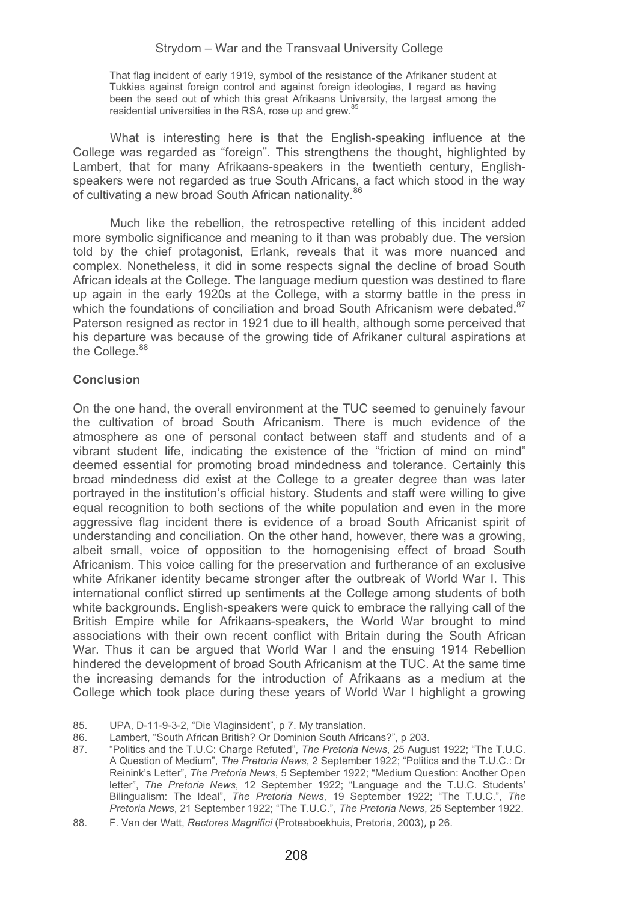That flag incident of early 1919, symbol of the resistance of the Afrikaner student at Tukkies against foreign control and against foreign ideologies, I regard as having been the seed out of which this great Afrikaans University, the largest among the residential universities in the RSA, rose up and grew.<sup>85</sup>

What is interesting here is that the English-speaking influence at the College was regarded as "foreign". This strengthens the thought, highlighted by Lambert, that for many Afrikaans-speakers in the twentieth century, Englishspeakers were not regarded as true South Africans, a fact which stood in the way of cultivating a new broad South African nationality.<sup>86</sup>

Much like the rebellion, the retrospective retelling of this incident added more symbolic significance and meaning to it than was probably due. The version told by the chief protagonist, Erlank, reveals that it was more nuanced and complex. Nonetheless, it did in some respects signal the decline of broad South African ideals at the College. The language medium question was destined to flare up again in the early 1920s at the College, with a stormy battle in the press in which the foundations of conciliation and broad South Africanism were debated.<sup>87</sup> Paterson resigned as rector in 1921 due to ill health, although some perceived that his departure was because of the growing tide of Afrikaner cultural aspirations at the College.<sup>88</sup>

## **Conclusion**

-----------------------------------------------------

On the one hand, the overall environment at the TUC seemed to genuinely favour the cultivation of broad South Africanism. There is much evidence of the atmosphere as one of personal contact between staff and students and of a vibrant student life, indicating the existence of the "friction of mind on mind" deemed essential for promoting broad mindedness and tolerance. Certainly this broad mindedness did exist at the College to a greater degree than was later portrayed in the institution's official history. Students and staff were willing to give equal recognition to both sections of the white population and even in the more aggressive flag incident there is evidence of a broad South Africanist spirit of understanding and conciliation. On the other hand, however, there was a growing, albeit small, voice of opposition to the homogenising effect of broad South Africanism. This voice calling for the preservation and furtherance of an exclusive white Afrikaner identity became stronger after the outbreak of World War I. This international conflict stirred up sentiments at the College among students of both white backgrounds. English-speakers were quick to embrace the rallying call of the British Empire while for Afrikaans-speakers, the World War brought to mind associations with their own recent conflict with Britain during the South African War. Thus it can be argued that World War I and the ensuing 1914 Rebellion hindered the development of broad South Africanism at the TUC. At the same time the increasing demands for the introduction of Afrikaans as a medium at the College which took place during these years of World War I highlight a growing

<sup>-</sup>-----85. UPA, D-11-9-3-2, "Die Vlaginsident", p 7. My translation.

<sup>86.</sup> Lambert, "South African British? Or Dominion South Africans?", p 203.<br>87. Politics and the T.I.I.C: Charge Refuted", The Pretoria News, 25 August

<sup>87. &</sup>quot;Politics and the T.U.C: Charge Refuted", *The Pretoria News*, 25 August 1922; "The T.U.C. A Question of Medium", *The Pretoria News*, 2 September 1922; "Politics and the T.U.C.: Dr Reinink's Letter", *The Pretoria News*, 5 September 1922; "Medium Question: Another Open letter", *The Pretoria News*, 12 September 1922; "Language and the T.U.C. Students' Bilingualism: The Ideal", *The Pretoria News*, 19 September 1922; "The T.U.C.", *The Pretoria News*, 21 September 1922; "The T.U.C.", *The Pretoria News*, 25 September 1922.

<sup>88.</sup> F. Van der Watt, *Rectores Magnifici* (Proteaboekhuis, Pretoria, 2003), p 26.